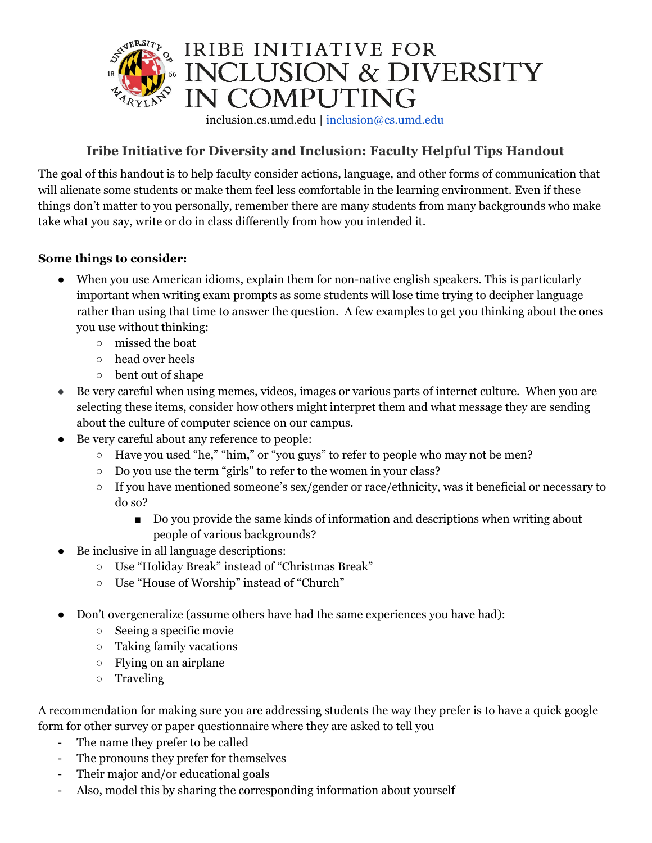

## **Iribe Initiative for Diversity and Inclusion: Faculty Helpful Tips Handout**

The goal of this handout is to help faculty consider actions, language, and other forms of communication that will alienate some students or make them feel less comfortable in the learning environment. Even if these things don't matter to you personally, remember there are many students from many backgrounds who make take what you say, write or do in class differently from how you intended it.

### **Some things to consider:**

- When you use American idioms, explain them for non-native english speakers. This is particularly important when writing exam prompts as some students will lose time trying to decipher language rather than using that time to answer the question. A few examples to get you thinking about the ones you use without thinking:
	- missed the boat
	- head over heels
	- bent out of shape
- Be very careful when using memes, videos, images or various parts of internet culture. When you are selecting these items, consider how others might interpret them and what message they are sending about the culture of computer science on our campus.
- Be very careful about any reference to people:
	- Have you used "he," "him," or "you guys" to refer to people who may not be men?
	- Do you use the term "girls" to refer to the women in your class?
	- If you have mentioned someone's sex/gender or race/ethnicity, was it beneficial or necessary to do so?
		- Do you provide the same kinds of information and descriptions when writing about people of various backgrounds?
- Be inclusive in all language descriptions:
	- Use "Holiday Break" instead of "Christmas Break"
	- Use "House of Worship" instead of "Church"
- Don't overgeneralize (assume others have had the same experiences you have had):
	- Seeing a specific movie
	- Taking family vacations
	- $\circ$  Flying on an airplane
	- Traveling

A recommendation for making sure you are addressing students the way they prefer is to have a quick google form for other survey or paper questionnaire where they are asked to tell you

- The name they prefer to be called
- The pronouns they prefer for themselves
- Their major and/or educational goals
- Also, model this by sharing the corresponding information about yourself